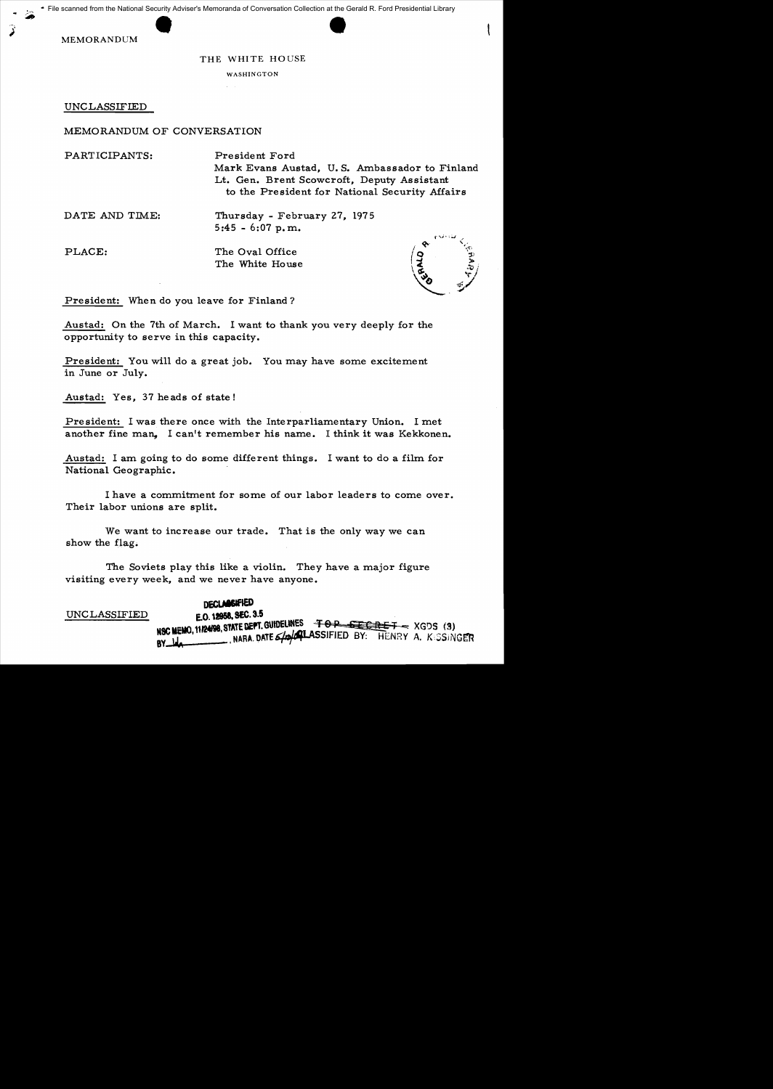scanned from the National Security Advise<br>MEMORANDUM File scanned from the National Security Adviser's Memoranda of Conversation Collection at the Gerald R. Ford Presidential Library

## THE WHITE HOUSE

WASHINGTON

UNCLASSIFIED

## MEMORANDUM OF CONVERSATION

PARTICIPANTS: President Ford Mark Evans Austad. U.S. Ambassador to Finland Lt. Gen. Brent Scowcroft, Deputy Assistant to the President for National Security Affairs

DATE AND TIME: Thursday - February 27, 1975 5:45 - 6:07 p. m..

PLACE: The Oval Office The White House



President: When do you leave for Finland?

Austad: On the 7th of March. I want to thank you very deeply for the opportunity to serve in this capacity.

President: You will do a great job. You may have some excitement in June or July.

Austad: Yes, 37 heads of state!

President: I was there once with the Interparliamentary Union. I met another fine man. I can't remember his name. I think it was Kekkonen.

Austad: I am going to do some different things. I want to do a film for National Geographic.

I have a commitment for some of our labor leaders to come over. Their labor unions are split.

We want to increase our trade. That is the only way we can show the flag.

The Soviets play this like a violin. They have a major figure visiting every week, and we never have anyone.

**DECLABSIFIED**<br>E.O. 12958, SEC. 3.5 UNCLASSIFIED E.O tJ95I. SEC. 3.5 \_ SlATE DEfT. GUtoEUNES <sup>T</sup>&:op. q! I!'@ <sup>T</sup>~ XG!)S (S) NOU THEN, WE THEN A DATE S/O/CHASSIFIED BY: HENRY A. K:SSINGER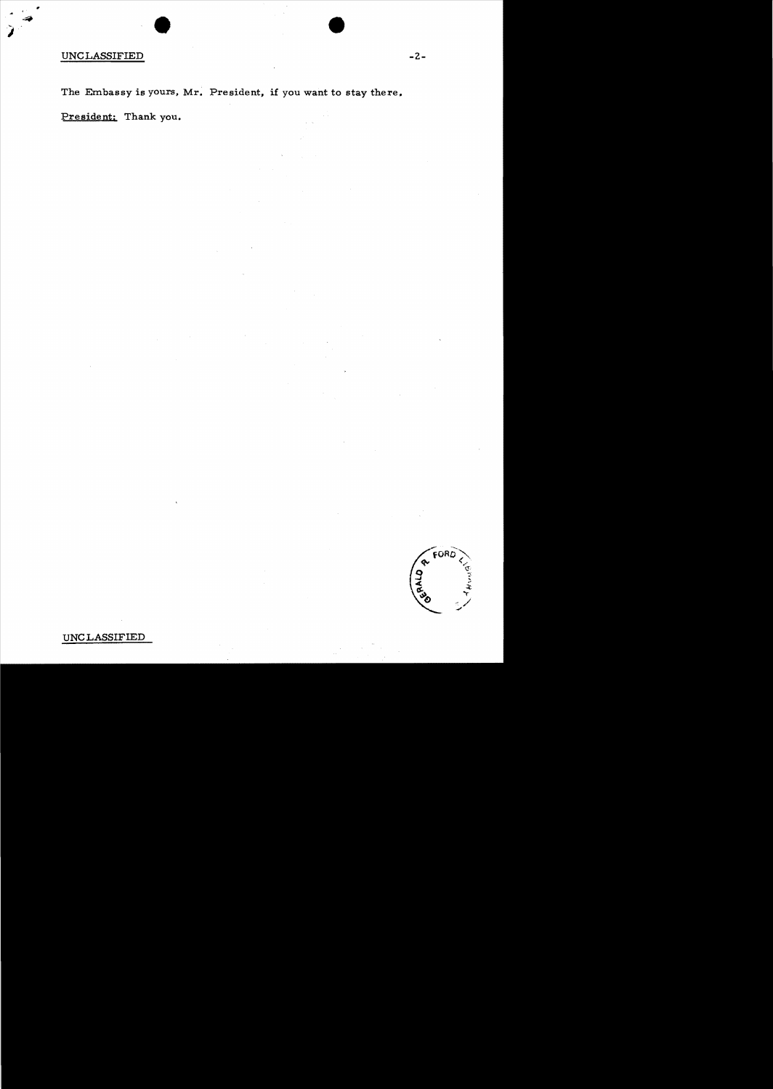## UNCLASSIFIED

•

The Embassy is yours, Mr. President, if you want to stay there.

President: Thank you.

•



UNC LASSIFIED